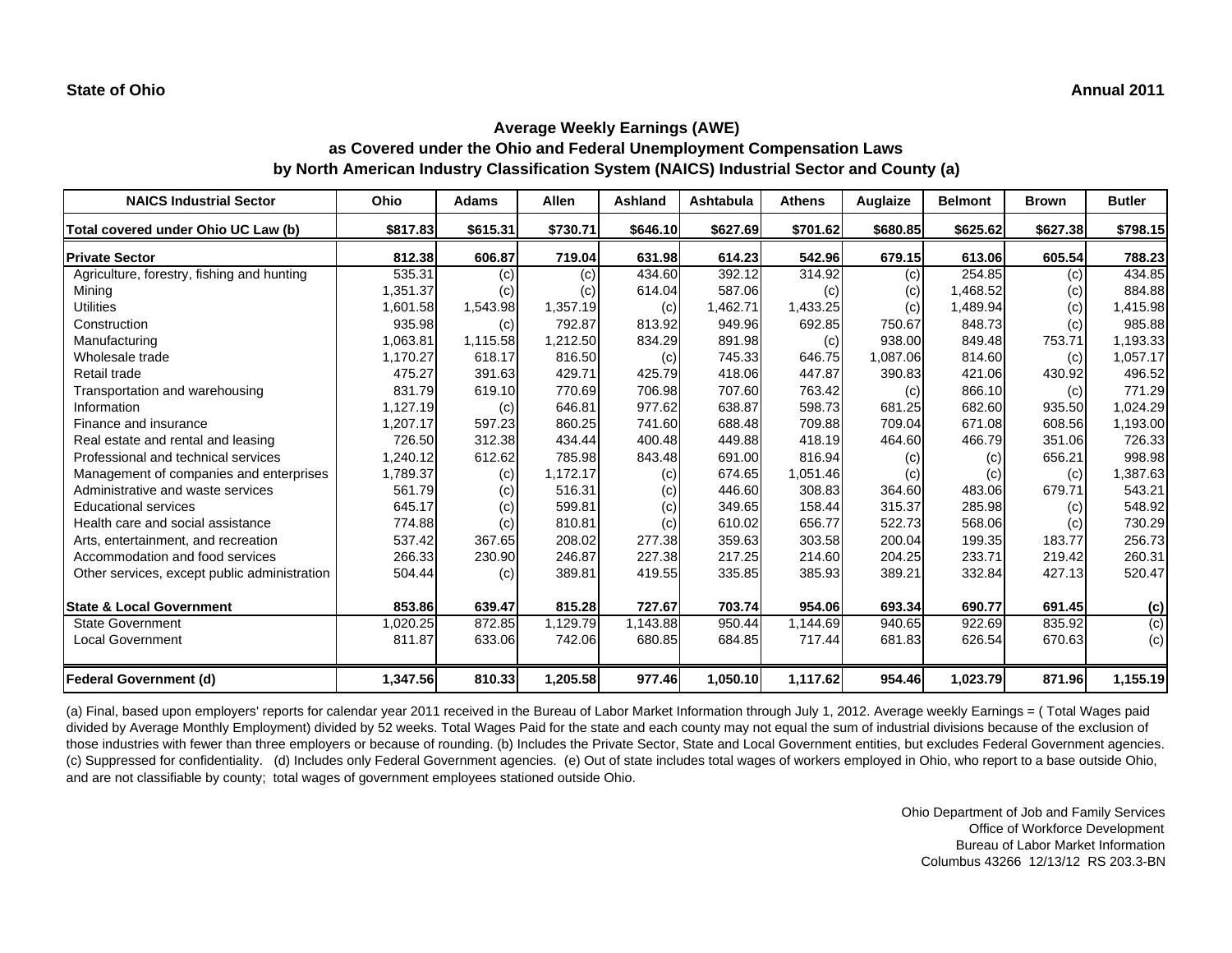| <b>NAICS Industrial Sector</b>               | Ohio     | <b>Adams</b> | <b>Allen</b> | <b>Ashland</b> | <b>Ashtabula</b> | <b>Athens</b> | Auglaize | <b>Belmont</b> | <b>Brown</b> | <b>Butler</b>  |
|----------------------------------------------|----------|--------------|--------------|----------------|------------------|---------------|----------|----------------|--------------|----------------|
| Total covered under Ohio UC Law (b)          | \$817.83 | \$615.31     | \$730.71     | \$646.10       | \$627.69         | \$701.62      | \$680.85 | \$625.62       | \$627.38     | \$798.15       |
| <b>Private Sector</b>                        | 812.38   | 606.87       | 719.04       | 631.98         | 614.23           | 542.96        | 679.15   | 613.06         | 605.54       | 788.23         |
| Agriculture, forestry, fishing and hunting   | 535.31   | (c)          | (c)          | 434.60         | 392.12           | 314.92        | (c)      | 254.85         | (c)          | 434.85         |
| Mining                                       | 1,351.37 | (c)          | (c)          | 614.04         | 587.06           | (c)           | (c)      | 1,468.52       | (c)          | 884.88         |
| <b>Utilities</b>                             | 1,601.58 | 1,543.98     | 1,357.19     | (c)            | 1,462.71         | 1,433.25      | (c)      | 1,489.94       | (c)          | 1,415.98       |
| Construction                                 | 935.98   | (c)          | 792.87       | 813.92         | 949.96           | 692.85        | 750.67   | 848.73         | (c)          | 985.88         |
| Manufacturing                                | 1,063.81 | 1,115.58     | 1,212.50     | 834.29         | 891.98           | (c)           | 938.00   | 849.48         | 753.71       | 1,193.33       |
| Wholesale trade                              | 1,170.27 | 618.17       | 816.50       | (c)            | 745.33           | 646.75        | 1,087.06 | 814.60         | (c)          | 1,057.17       |
| Retail trade                                 | 475.27   | 391.63       | 429.71       | 425.79         | 418.06           | 447.87        | 390.83   | 421.06         | 430.92       | 496.52         |
| Transportation and warehousing               | 831.79   | 619.10       | 770.69       | 706.98         | 707.60           | 763.42        | (c)      | 866.10         | (c)          | 771.29         |
| Information                                  | 1,127.19 | (c)          | 646.81       | 977.62         | 638.87           | 598.73        | 681.25   | 682.60         | 935.50       | 1,024.29       |
| Finance and insurance                        | 1,207.17 | 597.23       | 860.25       | 741.60         | 688.48           | 709.88        | 709.04   | 671.08         | 608.56       | 1,193.00       |
| Real estate and rental and leasing           | 726.50   | 312.38       | 434.44       | 400.48         | 449.88           | 418.19        | 464.60   | 466.79         | 351.06       | 726.33         |
| Professional and technical services          | 1,240.12 | 612.62       | 785.98       | 843.48         | 691.00           | 816.94        | (c)      | (c)            | 656.21       | 998.98         |
| Management of companies and enterprises      | 1,789.37 | (c)          | 1,172.17     | (c)            | 674.65           | 1,051.46      | (c)      | (c)            | (c)          | 1,387.63       |
| Administrative and waste services            | 561.79   | (c)          | 516.31       | (c)            | 446.60           | 308.83        | 364.60   | 483.06         | 679.71       | 543.21         |
| <b>Educational services</b>                  | 645.17   | (c)          | 599.81       | (c)            | 349.65           | 158.44        | 315.37   | 285.98         | (c)          | 548.92         |
| Health care and social assistance            | 774.88   | (c)          | 810.81       | (c)            | 610.02           | 656.77        | 522.73   | 568.06         | (c)          | 730.29         |
| Arts, entertainment, and recreation          | 537.42   | 367.65       | 208.02       | 277.38         | 359.63           | 303.58        | 200.04   | 199.35         | 183.77       | 256.73         |
| Accommodation and food services              | 266.33   | 230.90       | 246.87       | 227.38         | 217.25           | 214.60        | 204.25   | 233.71         | 219.42       | 260.31         |
| Other services, except public administration | 504.44   | (c)          | 389.81       | 419.55         | 335.85           | 385.93        | 389.21   | 332.84         | 427.13       | 520.47         |
| <b>State &amp; Local Government</b>          | 853.86   | 639.47       | 815.28       | 727.67         | 703.74           | 954.06        | 693.34   | 690.77         | 691.45       | (c)            |
| <b>State Government</b>                      | 1,020.25 | 872.85       | 1,129.79     | 1,143.88       | 950.44           | 1,144.69      | 940.65   | 922.69         | 835.92       | $\overline{c}$ |
| Local Government                             | 811.87   | 633.06       | 742.06       | 680.85         | 684.85           | 717.44        | 681.83   | 626.54         | 670.63       | (c)            |
| <b>Federal Government (d)</b>                | 1,347.56 | 810.33       | 1,205.58     | 977.46         | 1,050.10         | 1,117.62      | 954.46   | 1,023.79       | 871.96       | 1,155.19       |

(a) Final, based upon employers' reports for calendar year 2011 received in the Bureau of Labor Market Information through July 1, 2012. Average weekly Earnings = ( Total Wages paid divided by Average Monthly Employment) divided by 52 weeks. Total Wages Paid for the state and each county may not equal the sum of industrial divisions because of the exclusion of those industries with fewer than three employers or because of rounding. (b) Includes the Private Sector, State and Local Government entities, but excludes Federal Government agencies. (c) Suppressed for confidentiality. (d) Includes only Federal Government agencies. (e) Out of state includes total wages of workers employed in Ohio, who report to a base outside Ohio, and are not classifiable by county; total wages of government employees stationed outside Ohio.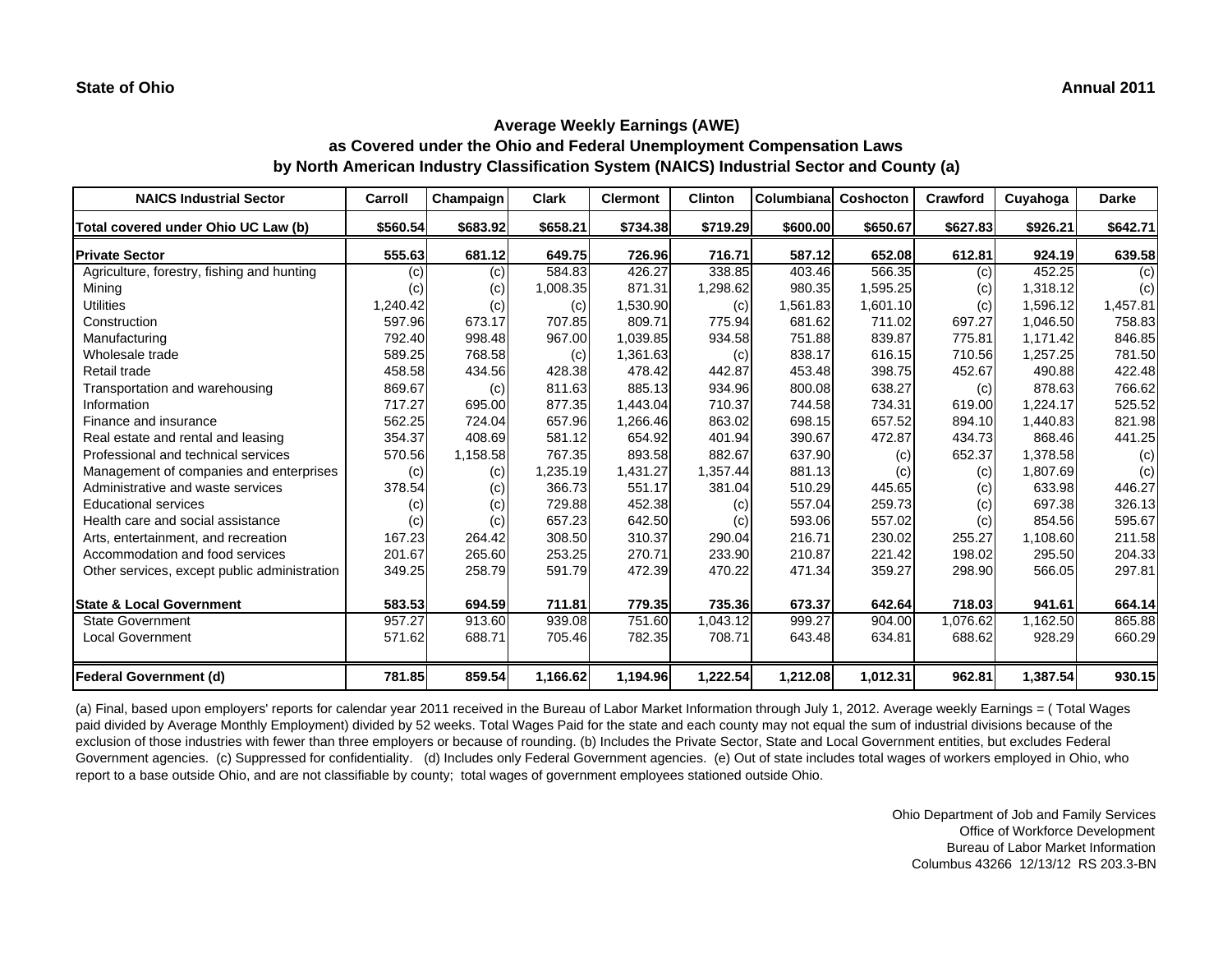| <b>NAICS Industrial Sector</b>               | Carroll  | Champaign | <b>Clark</b> | <b>Clermont</b> | <b>Clinton</b> | <b>Columbiana</b> | Coshocton | Crawford | Cuyahoga | <b>Darke</b> |
|----------------------------------------------|----------|-----------|--------------|-----------------|----------------|-------------------|-----------|----------|----------|--------------|
| Total covered under Ohio UC Law (b)          | \$560.54 | \$683.92  | \$658.21     | \$734.38        | \$719.29       | \$600.00          | \$650.67  | \$627.83 | \$926.21 | \$642.71     |
| <b>Private Sector</b>                        | 555.63   | 681.12    | 649.75       | 726.96          | 716.71         | 587.12            | 652.08    | 612.81   | 924.19   | 639.58       |
| Agriculture, forestry, fishing and hunting   | (c)      | (c)       | 584.83       | 426.27          | 338.85         | 403.46            | 566.35    | (c)      | 452.25   | (c)          |
| Mining                                       | (C)      | (c)       | 1,008.35     | 871.31          | 1,298.62       | 980.35            | 1,595.25  | (c)      | 1,318.12 | (c)          |
| <b>Utilities</b>                             | 1,240.42 | (c)       | (c)          | 1,530.90        | (c)            | 1,561.83          | 1,601.10  | (c)      | 1,596.12 | 1,457.81     |
| Construction                                 | 597.96   | 673.17    | 707.85       | 809.71          | 775.94         | 681.62            | 711.02    | 697.27   | 1,046.50 | 758.83       |
| Manufacturing                                | 792.40   | 998.48    | 967.00       | 1,039.85        | 934.58         | 751.88            | 839.87    | 775.81   | 1,171.42 | 846.85       |
| Wholesale trade                              | 589.25   | 768.58    | (c)          | 1,361.63        | (c)            | 838.17            | 616.15    | 710.56   | 1,257.25 | 781.50       |
| Retail trade                                 | 458.58   | 434.56    | 428.38       | 478.42          | 442.87         | 453.48            | 398.75    | 452.67   | 490.88   | 422.48       |
| Transportation and warehousing               | 869.67   | (c)       | 811.63       | 885.13          | 934.96         | 800.08            | 638.27    | (c)      | 878.63   | 766.62       |
| Information                                  | 717.27   | 695.00    | 877.35       | 1,443.04        | 710.37         | 744.58            | 734.31    | 619.00   | 1,224.17 | 525.52       |
| Finance and insurance                        | 562.25   | 724.04    | 657.96       | 1,266.46        | 863.02         | 698.15            | 657.52    | 894.10   | 1,440.83 | 821.98       |
| Real estate and rental and leasing           | 354.37   | 408.69    | 581.12       | 654.92          | 401.94         | 390.67            | 472.87    | 434.73   | 868.46   | 441.25       |
| Professional and technical services          | 570.56   | 1,158.58  | 767.35       | 893.58          | 882.67         | 637.90            | (c)       | 652.37   | 1,378.58 | (c)          |
| Management of companies and enterprises      | (c)      | (c)       | 1,235.19     | 1,431.27        | 1,357.44       | 881.13            | (c)       | (c)      | 1,807.69 | (c)          |
| Administrative and waste services            | 378.54   | (c)       | 366.73       | 551.17          | 381.04         | 510.29            | 445.65    | (c)      | 633.98   | 446.27       |
| <b>Educational services</b>                  | (c)      | (c)       | 729.88       | 452.38          | (c)            | 557.04            | 259.73    | (c)      | 697.38   | 326.13       |
| Health care and social assistance            | (c)      | (c)       | 657.23       | 642.50          | (c)            | 593.06            | 557.02    | (c)      | 854.56   | 595.67       |
| Arts, entertainment, and recreation          | 167.23   | 264.42    | 308.50       | 310.37          | 290.04         | 216.71            | 230.02    | 255.27   | 1,108.60 | 211.58       |
| Accommodation and food services              | 201.67   | 265.60    | 253.25       | 270.71          | 233.90         | 210.87            | 221.42    | 198.02   | 295.50   | 204.33       |
| Other services, except public administration | 349.25   | 258.79    | 591.79       | 472.39          | 470.22         | 471.34            | 359.27    | 298.90   | 566.05   | 297.81       |
| <b>State &amp; Local Government</b>          | 583.53   | 694.59    | 711.81       | 779.35          | 735.36         | 673.37            | 642.64    | 718.03   | 941.61   | 664.14       |
| <b>State Government</b>                      | 957.27   | 913.60    | 939.08       | 751.60          | 1,043.12       | 999.27            | 904.00    | 1.076.62 | 1,162.50 | 865.88       |
| <b>Local Government</b>                      | 571.62   | 688.71    | 705.46       | 782.35          | 708.71         | 643.48            | 634.81    | 688.62   | 928.29   | 660.29       |
| <b>Federal Government (d)</b>                | 781.85   | 859.54    | 1,166.62     | 1,194.96        | 1,222.54       | 1,212.08          | 1,012.31  | 962.81   | 1,387.54 | 930.15       |

(a) Final, based upon employers' reports for calendar year 2011 received in the Bureau of Labor Market Information through July 1, 2012. Average weekly Earnings = ( Total Wages paid divided by Average Monthly Employment) divided by 52 weeks. Total Wages Paid for the state and each county may not equal the sum of industrial divisions because of the exclusion of those industries with fewer than three employers or because of rounding. (b) Includes the Private Sector, State and Local Government entities, but excludes Federal Government agencies. (c) Suppressed for confidentiality. (d) Includes only Federal Government agencies. (e) Out of state includes total wages of workers employed in Ohio, who report to a base outside Ohio, and are not classifiable by county; total wages of government employees stationed outside Ohio.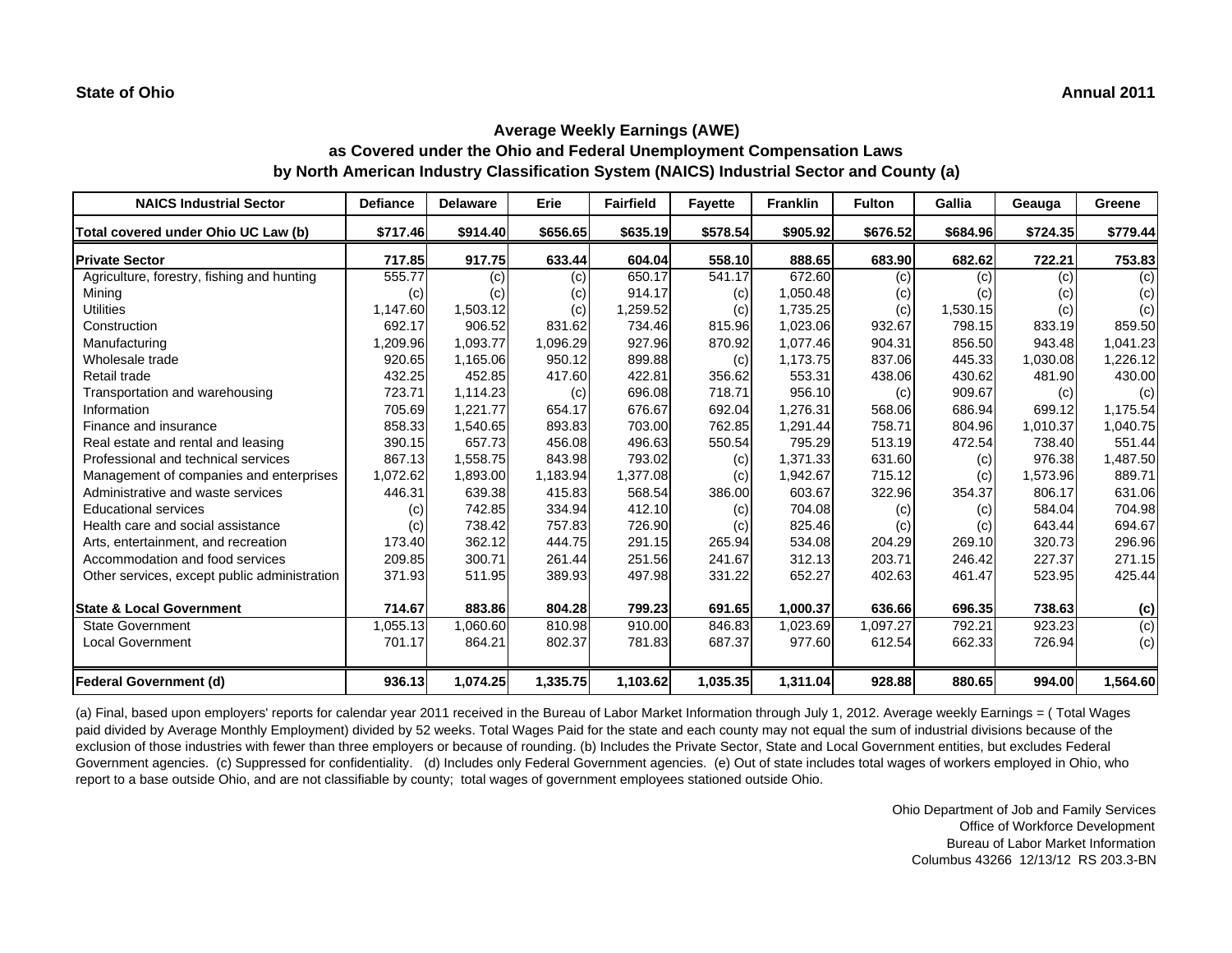| <b>NAICS Industrial Sector</b>               | <b>Defiance</b> | <b>Delaware</b> | Erie     | <b>Fairfield</b> | <b>Fayette</b> | <b>Franklin</b> | <b>Fulton</b> | Gallia   | Geauga   | Greene         |
|----------------------------------------------|-----------------|-----------------|----------|------------------|----------------|-----------------|---------------|----------|----------|----------------|
| Total covered under Ohio UC Law (b)          | \$717.46        | \$914.40        | \$656.65 | \$635.19         | \$578.54       | \$905.92        | \$676.52      | \$684.96 | \$724.35 | \$779.44       |
| <b>Private Sector</b>                        | 717.85          | 917.75          | 633.44   | 604.04           | 558.10         | 888.65          | 683.90        | 682.62   | 722.21   | 753.83         |
| Agriculture, forestry, fishing and hunting   | 555.77          | (c)             | (c)      | 650.17           | 541.17         | 672.60          | (c)           | (c)      | (c)      | (c)            |
| Mining                                       | (c)             | (c)             | (c)      | 914.17           | (c)            | 1,050.48        | (c)           | (c)      | (c)      | (c)            |
| <b>Utilities</b>                             | 1,147.60        | 1,503.12        | (c)      | 1,259.52         | (c)            | 1,735.25        | (c)           | 1,530.15 | (c)      | (c)            |
| Construction                                 | 692.17          | 906.52          | 831.62   | 734.46           | 815.96         | 1,023.06        | 932.67        | 798.15   | 833.19   | 859.50         |
| Manufacturing                                | 1,209.96        | 1.093.77        | 1,096.29 | 927.96           | 870.92         | 1,077.46        | 904.31        | 856.50   | 943.48   | 1,041.23       |
| Wholesale trade                              | 920.65          | 1,165.06        | 950.12   | 899.88           | (c)            | 1,173.75        | 837.06        | 445.33   | 1,030.08 | 1,226.12       |
| Retail trade                                 | 432.25          | 452.85          | 417.60   | 422.81           | 356.62         | 553.31          | 438.06        | 430.62   | 481.90   | 430.00         |
| Transportation and warehousing               | 723.71          | 1,114.23        | (c)      | 696.08           | 718.71         | 956.10          | (c)           | 909.67   | (c)      | (c)            |
| Information                                  | 705.69          | 1.221.77        | 654.17   | 676.67           | 692.04         | 1,276.31        | 568.06        | 686.94   | 699.12   | 1,175.54       |
| Finance and insurance                        | 858.33          | 1,540.65        | 893.83   | 703.00           | 762.85         | 1,291.44        | 758.71        | 804.96   | 1,010.37 | 1,040.75       |
| Real estate and rental and leasing           | 390.15          | 657.73          | 456.08   | 496.63           | 550.54         | 795.29          | 513.19        | 472.54   | 738.40   | 551.44         |
| Professional and technical services          | 867.13          | 1,558.75        | 843.98   | 793.02           | (c)            | 1,371.33        | 631.60        | (c)      | 976.38   | 1,487.50       |
| Management of companies and enterprises      | 1,072.62        | 1,893.00        | 1,183.94 | 1,377.08         | (c)            | 1,942.67        | 715.12        | (c)      | 1,573.96 | 889.71         |
| Administrative and waste services            | 446.31          | 639.38          | 415.83   | 568.54           | 386.00         | 603.67          | 322.96        | 354.37   | 806.17   | 631.06         |
| <b>Educational services</b>                  | (c)             | 742.85          | 334.94   | 412.10           | (c)            | 704.08          | (c)           | (c)      | 584.04   | 704.98         |
| Health care and social assistance            | (c)             | 738.42          | 757.83   | 726.90           | (c)            | 825.46          | (c)           | (c)      | 643.44   | 694.67         |
| Arts, entertainment, and recreation          | 173.40          | 362.12          | 444.75   | 291.15           | 265.94         | 534.08          | 204.29        | 269.10   | 320.73   | 296.96         |
| Accommodation and food services              | 209.85          | 300.71          | 261.44   | 251.56           | 241.67         | 312.13          | 203.71        | 246.42   | 227.37   | 271.15         |
| Other services, except public administration | 371.93          | 511.95          | 389.93   | 497.98           | 331.22         | 652.27          | 402.63        | 461.47   | 523.95   | 425.44         |
| <b>State &amp; Local Government</b>          | 714.67          | 883.86          | 804.28   | 799.23           | 691.65         | 1,000.37        | 636.66        | 696.35   | 738.63   | (c)            |
| <b>State Government</b>                      | 1,055.13        | 1.060.60        | 810.98   | 910.00           | 846.83         | 1,023.69        | 1.097.27      | 792.21   | 923.23   | $\overline{c}$ |
| <b>Local Government</b>                      | 701.17          | 864.21          | 802.37   | 781.83           | 687.37         | 977.60          | 612.54        | 662.33   | 726.94   | (c)            |
| <b>Federal Government (d)</b>                | 936.13          | 1,074.25        | 1,335.75 | 1,103.62         | 1,035.35       | 1,311.04        | 928.88        | 880.65   | 994.00   | 1,564.60       |

(a) Final, based upon employers' reports for calendar year 2011 received in the Bureau of Labor Market Information through July 1, 2012. Average weekly Earnings = ( Total Wages paid divided by Average Monthly Employment) divided by 52 weeks. Total Wages Paid for the state and each county may not equal the sum of industrial divisions because of the exclusion of those industries with fewer than three employers or because of rounding. (b) Includes the Private Sector, State and Local Government entities, but excludes Federal Government agencies. (c) Suppressed for confidentiality. (d) Includes only Federal Government agencies. (e) Out of state includes total wages of workers employed in Ohio, who report to a base outside Ohio, and are not classifiable by county; total wages of government employees stationed outside Ohio.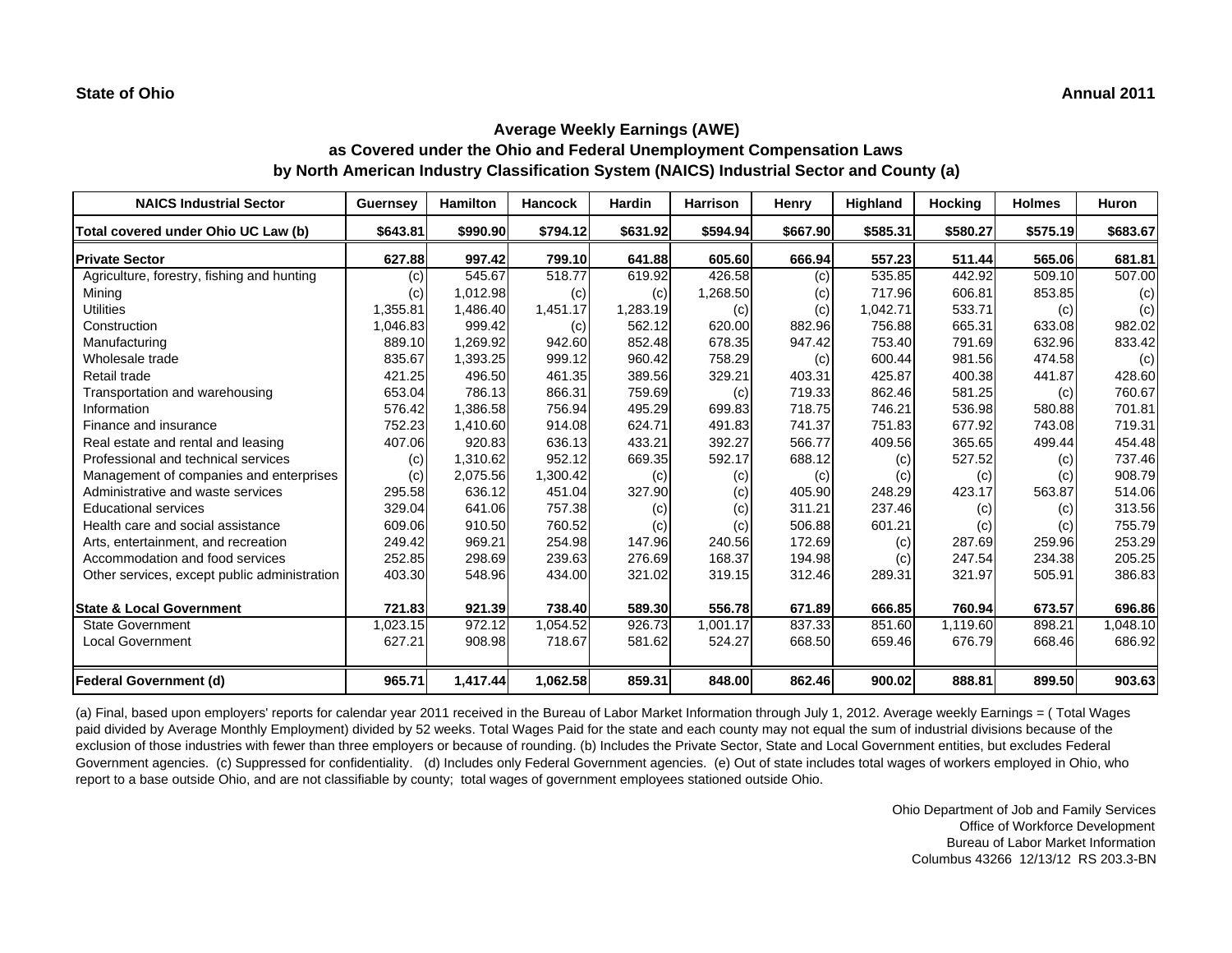| <b>NAICS Industrial Sector</b>               | <b>Guernsey</b> | <b>Hamilton</b> | <b>Hancock</b> | Hardin   | <b>Harrison</b> | Henry    | Highland | <b>Hocking</b> | <b>Holmes</b> | <b>Huron</b> |
|----------------------------------------------|-----------------|-----------------|----------------|----------|-----------------|----------|----------|----------------|---------------|--------------|
| Total covered under Ohio UC Law (b)          | \$643.81        | \$990.90        | \$794.12       | \$631.92 | \$594.94        | \$667.90 | \$585.31 | \$580.27       | \$575.19      | \$683.67     |
| <b>Private Sector</b>                        | 627.88          | 997.42          | 799.10         | 641.88   | 605.60          | 666.94   | 557.23   | 511.44         | 565.06        | 681.81       |
| Agriculture, forestry, fishing and hunting   | (c)             | 545.67          | 518.77         | 619.92   | 426.58          | (c)      | 535.85   | 442.92         | 509.10        | 507.00       |
| Mining                                       | (c)             | 1,012.98        | (c)            | (c)      | 1,268.50        | (c)      | 717.96   | 606.81         | 853.85        | (c)          |
| <b>Utilities</b>                             | 1,355.81        | 1,486.40        | 1,451.17       | 1,283.19 | (c)             | (c)      | 1,042.71 | 533.71         | (c)           | (c)          |
| Construction                                 | 1,046.83        | 999.42          | (c)            | 562.12   | 620.00          | 882.96   | 756.88   | 665.31         | 633.08        | 982.02       |
| Manufacturing                                | 889.10          | 1.269.92        | 942.60         | 852.48   | 678.35          | 947.42   | 753.40   | 791.69         | 632.96        | 833.42       |
| Wholesale trade                              | 835.67          | 1,393.25        | 999.12         | 960.42   | 758.29          | (c)      | 600.44   | 981.56         | 474.58        | (c)          |
| Retail trade                                 | 421.25          | 496.50          | 461.35         | 389.56   | 329.21          | 403.31   | 425.87   | 400.38         | 441.87        | 428.60       |
| Transportation and warehousing               | 653.04          | 786.13          | 866.31         | 759.69   | (c)             | 719.33   | 862.46   | 581.25         | (c)           | 760.67       |
| Information                                  | 576.42          | 1,386.58        | 756.94         | 495.29   | 699.83          | 718.75   | 746.21   | 536.98         | 580.88        | 701.81       |
| Finance and insurance                        | 752.23          | 1,410.60        | 914.08         | 624.71   | 491.83          | 741.37   | 751.83   | 677.92         | 743.08        | 719.31       |
| Real estate and rental and leasing           | 407.06          | 920.83          | 636.13         | 433.21   | 392.27          | 566.77   | 409.56   | 365.65         | 499.44        | 454.48       |
| Professional and technical services          | (c)             | 1,310.62        | 952.12         | 669.35   | 592.17          | 688.12   | (c)      | 527.52         | (c)           | 737.46       |
| Management of companies and enterprises      | (c)             | 2,075.56        | 1,300.42       | (c)      | (c)             | (c)      | (c)      | (c)            | (c)           | 908.79       |
| Administrative and waste services            | 295.58          | 636.12          | 451.04         | 327.90   | (c)             | 405.90   | 248.29   | 423.17         | 563.87        | 514.06       |
| <b>Educational services</b>                  | 329.04          | 641.06          | 757.38         | (c)      | (c)             | 311.21   | 237.46   | (c)            | (c)           | 313.56       |
| Health care and social assistance            | 609.06          | 910.50          | 760.52         | (c)      | (c)             | 506.88   | 601.21   | (c)            | (c)           | 755.79       |
| Arts, entertainment, and recreation          | 249.42          | 969.21          | 254.98         | 147.96   | 240.56          | 172.69   | (c)      | 287.69         | 259.96        | 253.29       |
| Accommodation and food services              | 252.85          | 298.69          | 239.63         | 276.69   | 168.37          | 194.98   | (c)      | 247.54         | 234.38        | 205.25       |
| Other services, except public administration | 403.30          | 548.96          | 434.00         | 321.02   | 319.15          | 312.46   | 289.31   | 321.97         | 505.91        | 386.83       |
| <b>State &amp; Local Government</b>          | 721.83          | 921.39          | 738.40         | 589.30   | 556.78          | 671.89   | 666.85   | 760.94         | 673.57        | 696.86       |
| <b>State Government</b>                      | 023.15          | 972.12          | 1,054.52       | 926.73   | 1,001.17        | 837.33   | 851.60   | 1,119.60       | 898.21        | 1,048.10     |
| <b>Local Government</b>                      | 627.21          | 908.98          | 718.67         | 581.62   | 524.27          | 668.50   | 659.46   | 676.79         | 668.46        | 686.92       |
| <b>Federal Government (d)</b>                | 965.71          | 1,417.44        | 1,062.58       | 859.31   | 848.00          | 862.46   | 900.02   | 888.81         | 899.50        | 903.63       |

(a) Final, based upon employers' reports for calendar year 2011 received in the Bureau of Labor Market Information through July 1, 2012. Average weekly Earnings = ( Total Wages paid divided by Average Monthly Employment) divided by 52 weeks. Total Wages Paid for the state and each county may not equal the sum of industrial divisions because of the exclusion of those industries with fewer than three employers or because of rounding. (b) Includes the Private Sector, State and Local Government entities, but excludes Federal Government agencies. (c) Suppressed for confidentiality. (d) Includes only Federal Government agencies. (e) Out of state includes total wages of workers employed in Ohio, who report to a base outside Ohio, and are not classifiable by county; total wages of government employees stationed outside Ohio.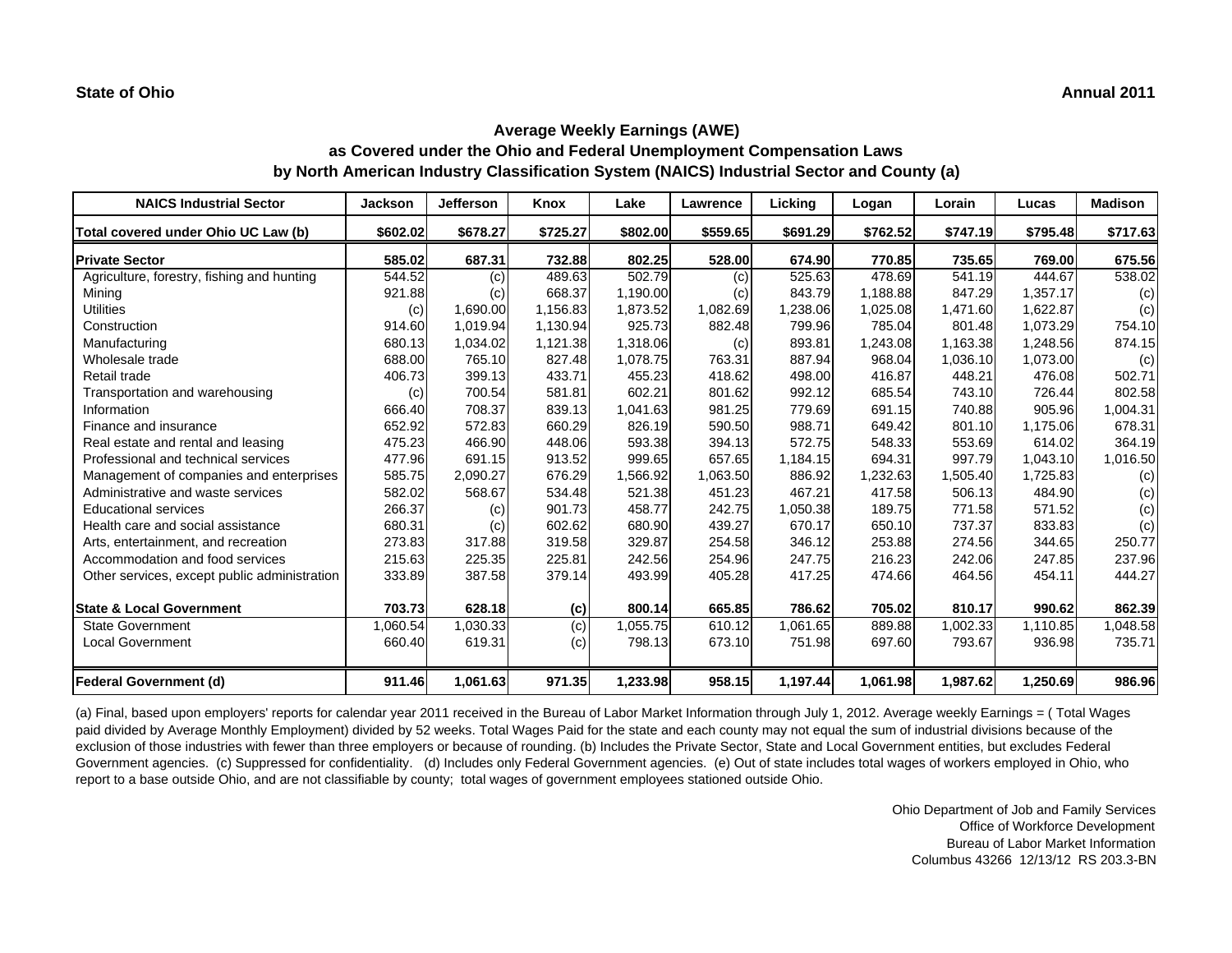| <b>NAICS Industrial Sector</b>               | <b>Jackson</b> | <b>Jefferson</b> | Knox     | Lake     | Lawrence | Licking  | Logan    | Lorain   | Lucas    | <b>Madison</b> |
|----------------------------------------------|----------------|------------------|----------|----------|----------|----------|----------|----------|----------|----------------|
| Total covered under Ohio UC Law (b)          | \$602.02       | \$678.27         | \$725.27 | \$802.00 | \$559.65 | \$691.29 | \$762.52 | \$747.19 | \$795.48 | \$717.63       |
| <b>Private Sector</b>                        | 585.02         | 687.31           | 732.88   | 802.25   | 528.00   | 674.90   | 770.85   | 735.65   | 769.00   | 675.56         |
| Agriculture, forestry, fishing and hunting   | 544.52         | (c)              | 489.63   | 502.79   | (c)      | 525.63   | 478.69   | 541.19   | 444.67   | 538.02         |
| Mining                                       | 921.88         | (c)              | 668.37   | 1,190.00 | (c)      | 843.79   | 1,188.88 | 847.29   | 1,357.17 | (c)            |
| <b>Utilities</b>                             | (c)            | 1,690.00         | 1,156.83 | 1,873.52 | 1,082.69 | 1,238.06 | 1,025.08 | 1,471.60 | 1,622.87 | (c)            |
| Construction                                 | 914.60         | 1,019.94         | 1,130.94 | 925.73   | 882.48   | 799.96   | 785.04   | 801.48   | 1,073.29 | 754.10         |
| Manufacturing                                | 680.13         | 1,034.02         | 1,121.38 | 1,318.06 | (c)      | 893.81   | 1,243.08 | 1,163.38 | 1,248.56 | 874.15         |
| Wholesale trade                              | 688.00         | 765.10           | 827.48   | 1,078.75 | 763.31   | 887.94   | 968.04   | 1,036.10 | 1,073.00 | (c)            |
| Retail trade                                 | 406.73         | 399.13           | 433.71   | 455.23   | 418.62   | 498.00   | 416.87   | 448.21   | 476.08   | 502.71         |
| Transportation and warehousing               | (c)            | 700.54           | 581.81   | 602.21   | 801.62   | 992.12   | 685.54   | 743.10   | 726.44   | 802.58         |
| Information                                  | 666.40         | 708.37           | 839.13   | 1.041.63 | 981.25   | 779.69   | 691.15   | 740.88   | 905.96   | 1,004.31       |
| Finance and insurance                        | 652.92         | 572.83           | 660.29   | 826.19   | 590.50   | 988.71   | 649.42   | 801.10   | 1,175.06 | 678.31         |
| Real estate and rental and leasing           | 475.23         | 466.90           | 448.06   | 593.38   | 394.13   | 572.75   | 548.33   | 553.69   | 614.02   | 364.19         |
| Professional and technical services          | 477.96         | 691.15           | 913.52   | 999.65   | 657.65   | 1,184.15 | 694.31   | 997.79   | 1,043.10 | 1,016.50       |
| Management of companies and enterprises      | 585.75         | 2,090.27         | 676.29   | 1,566.92 | 1,063.50 | 886.92   | 1,232.63 | 1,505.40 | 1,725.83 | (c)            |
| Administrative and waste services            | 582.02         | 568.67           | 534.48   | 521.38   | 451.23   | 467.21   | 417.58   | 506.13   | 484.90   | (c)            |
| <b>Educational services</b>                  | 266.37         | (c)              | 901.73   | 458.77   | 242.75   | 1,050.38 | 189.75   | 771.58   | 571.52   | (c)            |
| Health care and social assistance            | 680.31         | (c)              | 602.62   | 680.90   | 439.27   | 670.17   | 650.10   | 737.37   | 833.83   | (c)            |
| Arts, entertainment, and recreation          | 273.83         | 317.88           | 319.58   | 329.87   | 254.58   | 346.12   | 253.88   | 274.56   | 344.65   | 250.77         |
| Accommodation and food services              | 215.63         | 225.35           | 225.81   | 242.56   | 254.96   | 247.75   | 216.23   | 242.06   | 247.85   | 237.96         |
| Other services, except public administration | 333.89         | 387.58           | 379.14   | 493.99   | 405.28   | 417.25   | 474.66   | 464.56   | 454.11   | 444.27         |
| <b>State &amp; Local Government</b>          | 703.73         | 628.18           | (c)      | 800.14   | 665.85   | 786.62   | 705.02   | 810.17   | 990.62   | 862.39         |
| <b>State Government</b>                      | 1,060.54       | 1,030.33         | (c)      | 1,055.75 | 610.12   | 1,061.65 | 889.88   | 1,002.33 | 1,110.85 | 1,048.58       |
| <b>Local Government</b>                      | 660.40         | 619.31           | (c)      | 798.13   | 673.10   | 751.98   | 697.60   | 793.67   | 936.98   | 735.71         |
| <b>Federal Government (d)</b>                | 911.46         | 1,061.63         | 971.35   | 1,233.98 | 958.15   | 1,197.44 | 1,061.98 | 1,987.62 | 1,250.69 | 986.96         |

(a) Final, based upon employers' reports for calendar year 2011 received in the Bureau of Labor Market Information through July 1, 2012. Average weekly Earnings = ( Total Wages paid divided by Average Monthly Employment) divided by 52 weeks. Total Wages Paid for the state and each county may not equal the sum of industrial divisions because of the exclusion of those industries with fewer than three employers or because of rounding. (b) Includes the Private Sector, State and Local Government entities, but excludes Federal Government agencies. (c) Suppressed for confidentiality. (d) Includes only Federal Government agencies. (e) Out of state includes total wages of workers employed in Ohio, who report to a base outside Ohio, and are not classifiable by county; total wages of government employees stationed outside Ohio.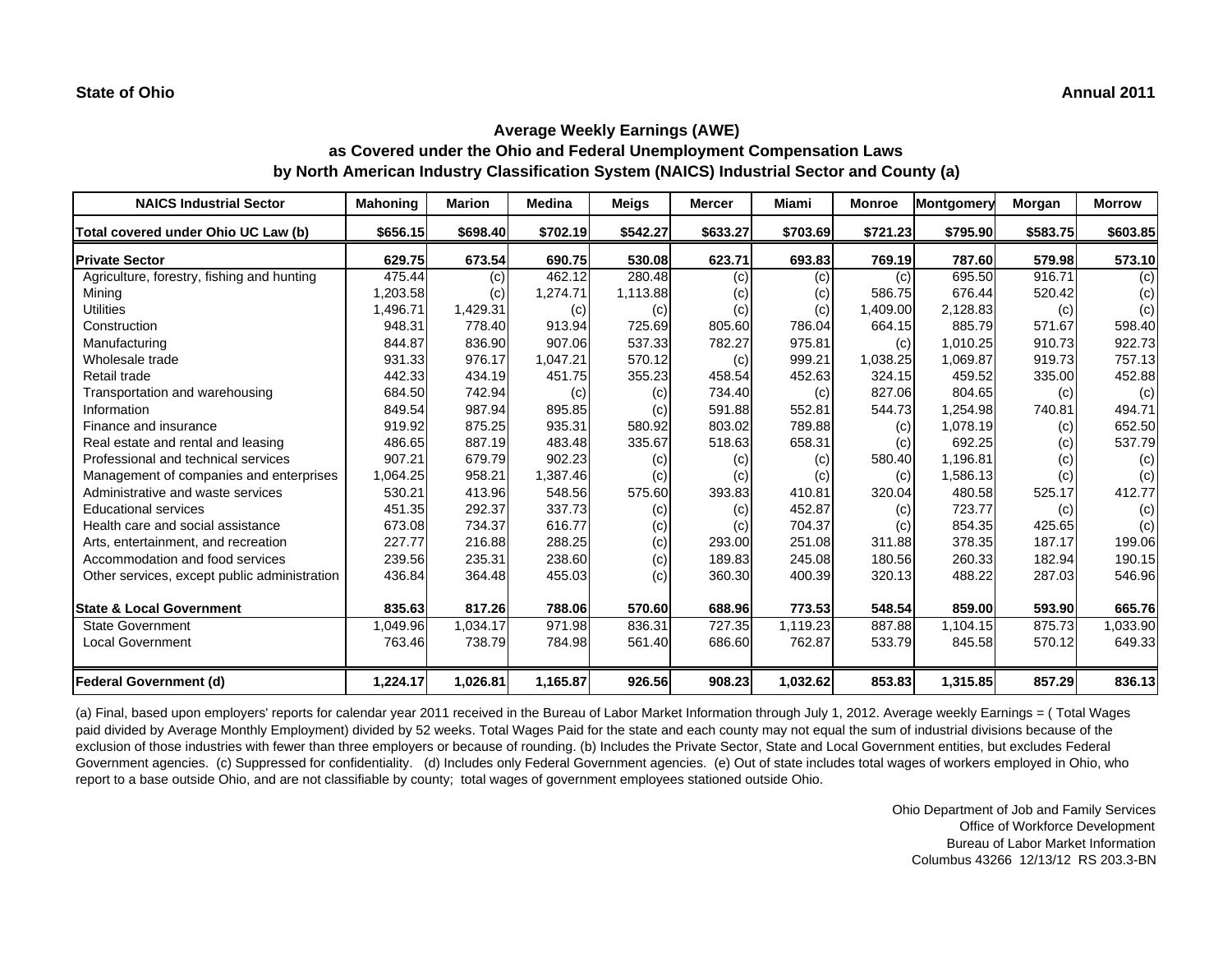| <b>NAICS Industrial Sector</b>               | <b>Mahoning</b> | <b>Marion</b> | <b>Medina</b> | <b>Meigs</b> | <b>Mercer</b> | Miami    | <b>Monroe</b> | Montgomery | Morgan   | <b>Morrow</b> |
|----------------------------------------------|-----------------|---------------|---------------|--------------|---------------|----------|---------------|------------|----------|---------------|
| Total covered under Ohio UC Law (b)          | \$656.15        | \$698.40      | \$702.19      | \$542.27     | \$633.27      | \$703.69 | \$721.23      | \$795.90   | \$583.75 | \$603.85      |
| <b>Private Sector</b>                        | 629.75          | 673.54        | 690.75        | 530.08       | 623.71        | 693.83   | 769.19        | 787.60     | 579.98   | 573.10        |
| Agriculture, forestry, fishing and hunting   | 475.44          | (c)           | 462.12        | 280.48       | (c)           | (c)      | (c)           | 695.50     | 916.71   | (c)           |
| Mining                                       | 1,203.58        | (c)           | 1,274.71      | 1,113.88     | (c)           | (c)      | 586.75        | 676.44     | 520.42   | (c)           |
| <b>Utilities</b>                             | 1,496.71        | 1,429.31      | (c)           | (c)          | (c)           | (c)      | 1,409.00      | 2,128.83   | (c)      | (c)           |
| Construction                                 | 948.31          | 778.40        | 913.94        | 725.69       | 805.60        | 786.04   | 664.15        | 885.79     | 571.67   | 598.40        |
| Manufacturing                                | 844.87          | 836.90        | 907.06        | 537.33       | 782.27        | 975.81   | (c)           | 1,010.25   | 910.73   | 922.73        |
| Wholesale trade                              | 931.33          | 976.17        | 1,047.21      | 570.12       | (c)           | 999.21   | 1,038.25      | 1,069.87   | 919.73   | 757.13        |
| Retail trade                                 | 442.33          | 434.19        | 451.75        | 355.23       | 458.54        | 452.63   | 324.15        | 459.52     | 335.00   | 452.88        |
| Transportation and warehousing               | 684.50          | 742.94        | (c)           | (c)          | 734.40        | (c)      | 827.06        | 804.65     | (c)      | (c)           |
| Information                                  | 849.54          | 987.94        | 895.85        | (c)          | 591.88        | 552.81   | 544.73        | 1,254.98   | 740.81   | 494.71        |
| Finance and insurance                        | 919.92          | 875.25        | 935.31        | 580.92       | 803.02        | 789.88   | (c)           | 1,078.19   | (c)      | 652.50        |
| Real estate and rental and leasing           | 486.65          | 887.19        | 483.48        | 335.67       | 518.63        | 658.31   | (c)           | 692.25     | (c)      | 537.79        |
| Professional and technical services          | 907.21          | 679.79        | 902.23        | (c)          | (c)           | (c)      | 580.40        | 1,196.81   | (c)      | (c)           |
| Management of companies and enterprises      | 1,064.25        | 958.21        | 1,387.46      | (c)          | (c)           | (c)      | (c)           | 1,586.13   | (c)      | (c)           |
| Administrative and waste services            | 530.21          | 413.96        | 548.56        | 575.60       | 393.83        | 410.81   | 320.04        | 480.58     | 525.17   | 412.77        |
| <b>Educational services</b>                  | 451.35          | 292.37        | 337.73        | (c)          | (c)           | 452.87   | (c)           | 723.77     | (c)      | (c)           |
| Health care and social assistance            | 673.08          | 734.37        | 616.77        | (c)          | (c)           | 704.37   | (c)           | 854.35     | 425.65   | (c)           |
| Arts, entertainment, and recreation          | 227.77          | 216.88        | 288.25        | (c)          | 293.00        | 251.08   | 311.88        | 378.35     | 187.17   | 199.06        |
| Accommodation and food services              | 239.56          | 235.31        | 238.60        | (c)          | 189.83        | 245.08   | 180.56        | 260.33     | 182.94   | 190.15        |
| Other services, except public administration | 436.84          | 364.48        | 455.03        | (c)          | 360.30        | 400.39   | 320.13        | 488.22     | 287.03   | 546.96        |
| <b>State &amp; Local Government</b>          | 835.63          | 817.26        | 788.06        | 570.60       | 688.96        | 773.53   | 548.54        | 859.00     | 593.90   | 665.76        |
| <b>State Government</b>                      | 1,049.96        | 1.034.17      | 971.98        | 836.31       | 727.35        | 1,119.23 | 887.88        | 1.104.15   | 875.73   | 1,033.90      |
| <b>Local Government</b>                      | 763.46          | 738.79        | 784.98        | 561.40       | 686.60        | 762.87   | 533.79        | 845.58     | 570.12   | 649.33        |
| <b>Federal Government (d)</b>                | 1,224.17        | 1,026.81      | 1,165.87      | 926.56       | 908.23        | 1,032.62 | 853.83        | 1,315.85   | 857.29   | 836.13        |

(a) Final, based upon employers' reports for calendar year 2011 received in the Bureau of Labor Market Information through July 1, 2012. Average weekly Earnings = ( Total Wages paid divided by Average Monthly Employment) divided by 52 weeks. Total Wages Paid for the state and each county may not equal the sum of industrial divisions because of the exclusion of those industries with fewer than three employers or because of rounding. (b) Includes the Private Sector, State and Local Government entities, but excludes Federal Government agencies. (c) Suppressed for confidentiality. (d) Includes only Federal Government agencies. (e) Out of state includes total wages of workers employed in Ohio, who report to a base outside Ohio, and are not classifiable by county; total wages of government employees stationed outside Ohio.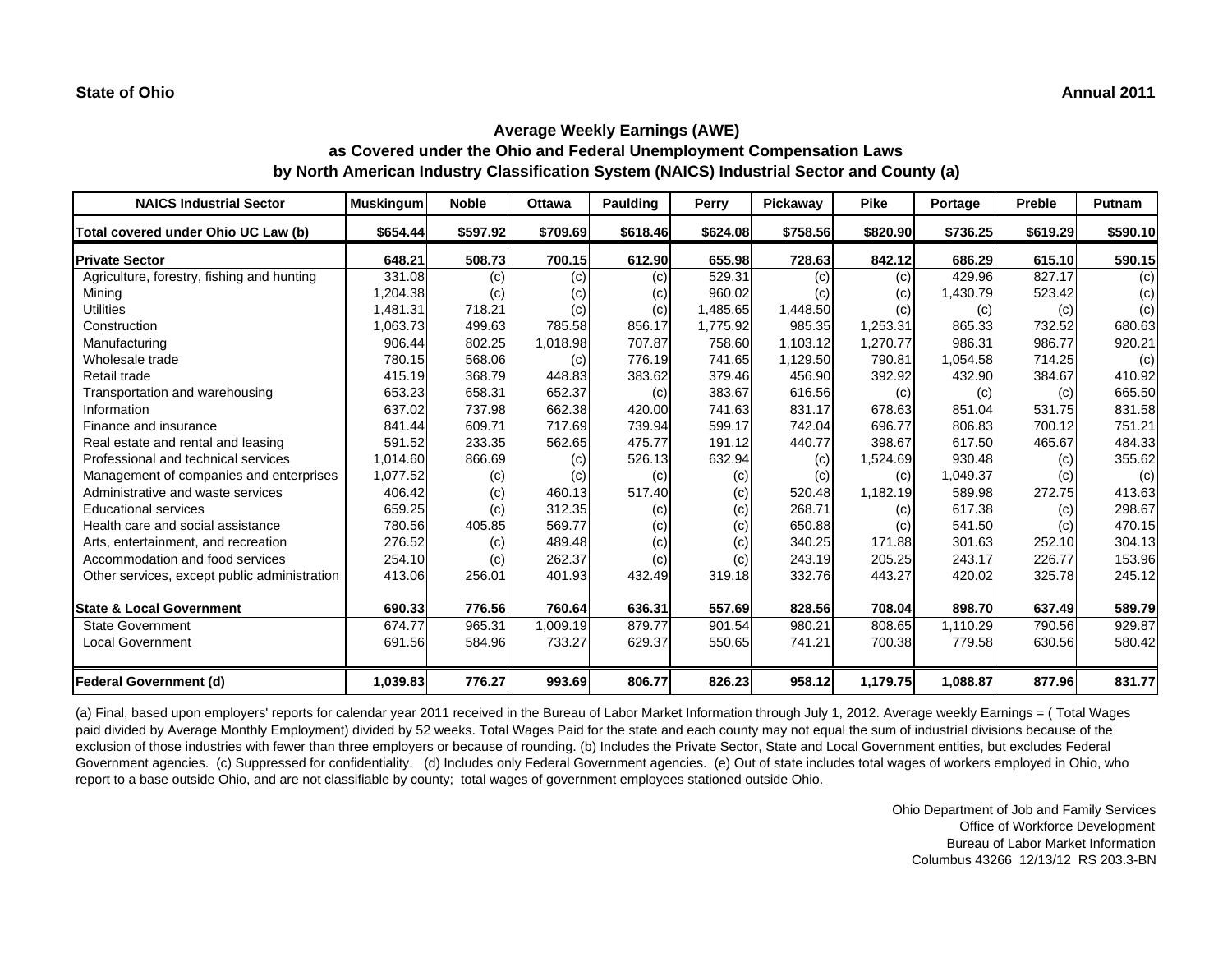| <b>NAICS Industrial Sector</b>               | <b>Muskingum</b> | <b>Noble</b> | <b>Ottawa</b> | Paulding | Perry    | Pickaway | <b>Pike</b> | Portage  | Preble   | Putnam   |
|----------------------------------------------|------------------|--------------|---------------|----------|----------|----------|-------------|----------|----------|----------|
| Total covered under Ohio UC Law (b)          | \$654.44         | \$597.92     | \$709.69      | \$618.46 | \$624.08 | \$758.56 | \$820.90    | \$736.25 | \$619.29 | \$590.10 |
| <b>Private Sector</b>                        | 648.21           | 508.73       | 700.15        | 612.90   | 655.98   | 728.63   | 842.12      | 686.29   | 615.10   | 590.15   |
| Agriculture, forestry, fishing and hunting   | 331.08           | (c)          | (c)           | (c)      | 529.31   | (c)      | (c)         | 429.96   | 827.17   | (c)      |
| Mining                                       | 1,204.38         | (c)          | (c)           | (c)      | 960.02   | (c)      | (c)         | 1,430.79 | 523.42   | (c)      |
| <b>Utilities</b>                             | 1,481.31         | 718.21       | (c)           | (c)      | 1,485.65 | 1,448.50 | (c)         | (c)      | (c)      | (c)      |
| Construction                                 | 1,063.73         | 499.63       | 785.58        | 856.17   | 1,775.92 | 985.35   | 1,253.31    | 865.33   | 732.52   | 680.63   |
| Manufacturing                                | 906.44           | 802.25       | 1,018.98      | 707.87   | 758.60   | 1,103.12 | 1,270.77    | 986.31   | 986.77   | 920.21   |
| Wholesale trade                              | 780.15           | 568.06       | (c)           | 776.19   | 741.65   | 1,129.50 | 790.81      | 1,054.58 | 714.25   | (c)      |
| Retail trade                                 | 415.19           | 368.79       | 448.83        | 383.62   | 379.46   | 456.90   | 392.92      | 432.90   | 384.67   | 410.92   |
| Transportation and warehousing               | 653.23           | 658.31       | 652.37        | (c)      | 383.67   | 616.56   | (c)         | (c)      | (c)      | 665.50   |
| Information                                  | 637.02           | 737.98       | 662.38        | 420.00   | 741.63   | 831.17   | 678.63      | 851.04   | 531.75   | 831.58   |
| Finance and insurance                        | 841.44           | 609.71       | 717.69        | 739.94   | 599.17   | 742.04   | 696.77      | 806.83   | 700.12   | 751.21   |
| Real estate and rental and leasing           | 591.52           | 233.35       | 562.65        | 475.77   | 191.12   | 440.77   | 398.67      | 617.50   | 465.67   | 484.33   |
| Professional and technical services          | 1,014.60         | 866.69       | (c)           | 526.13   | 632.94   | (c)      | 1,524.69    | 930.48   | (c)      | 355.62   |
| Management of companies and enterprises      | 1,077.52         | (c)          | (c)           | (c)      | (c)      | (c)      | (c)         | 1,049.37 | (c)      | (c)      |
| Administrative and waste services            | 406.42           | (c)          | 460.13        | 517.40   | (c)      | 520.48   | 1,182.19    | 589.98   | 272.75   | 413.63   |
| <b>Educational services</b>                  | 659.25           | (c)          | 312.35        | (c)      | (c)      | 268.71   | (c)         | 617.38   | (c)      | 298.67   |
| Health care and social assistance            | 780.56           | 405.85       | 569.77        | (c)      | (c)      | 650.88   | (c)         | 541.50   | (c)      | 470.15   |
| Arts, entertainment, and recreation          | 276.52           | (c)          | 489.48        | (c)      | (c)      | 340.25   | 171.88      | 301.63   | 252.10   | 304.13   |
| Accommodation and food services              | 254.10           | (c)          | 262.37        | (c)      | (c)      | 243.19   | 205.25      | 243.17   | 226.77   | 153.96   |
| Other services, except public administration | 413.06           | 256.01       | 401.93        | 432.49   | 319.18   | 332.76   | 443.27      | 420.02   | 325.78   | 245.12   |
| <b>State &amp; Local Government</b>          | 690.33           | 776.56       | 760.64        | 636.31   | 557.69   | 828.56   | 708.04      | 898.70   | 637.49   | 589.79   |
| <b>State Government</b>                      | 674.77           | 965.31       | 1.009.19      | 879.77   | 901.54   | 980.21   | 808.65      | 1,110.29 | 790.56   | 929.87   |
| <b>Local Government</b>                      | 691.56           | 584.96       | 733.27        | 629.37   | 550.65   | 741.21   | 700.38      | 779.58   | 630.56   | 580.42   |
| <b>Federal Government (d)</b>                | 1,039.83         | 776.27       | 993.69        | 806.77   | 826.23   | 958.12   | 1,179.75    | 1.088.87 | 877.96   | 831.77   |

(a) Final, based upon employers' reports for calendar year 2011 received in the Bureau of Labor Market Information through July 1, 2012. Average weekly Earnings = ( Total Wages paid divided by Average Monthly Employment) divided by 52 weeks. Total Wages Paid for the state and each county may not equal the sum of industrial divisions because of the exclusion of those industries with fewer than three employers or because of rounding. (b) Includes the Private Sector, State and Local Government entities, but excludes Federal Government agencies. (c) Suppressed for confidentiality. (d) Includes only Federal Government agencies. (e) Out of state includes total wages of workers employed in Ohio, who report to a base outside Ohio, and are not classifiable by county; total wages of government employees stationed outside Ohio.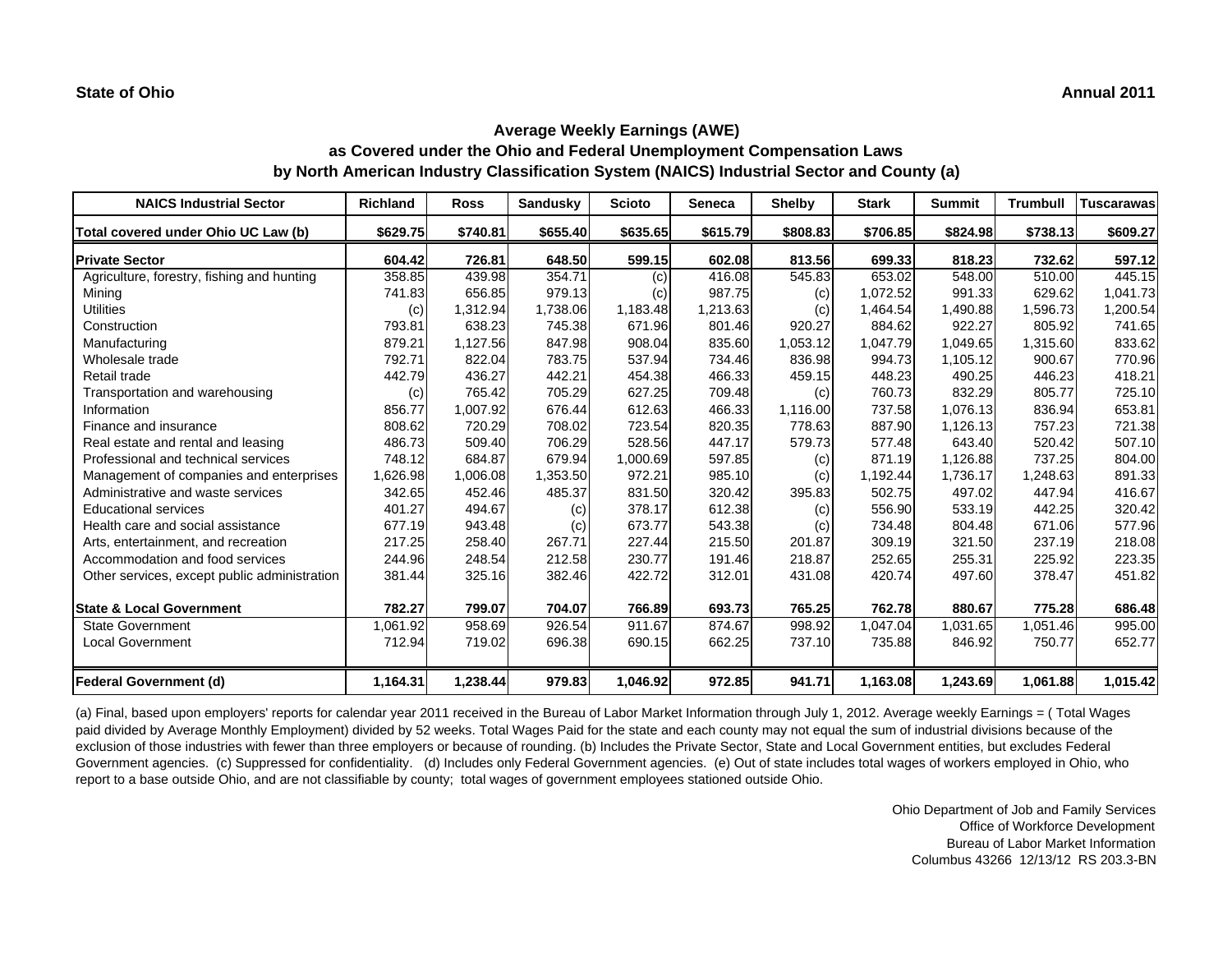| <b>NAICS Industrial Sector</b>               | <b>Richland</b> | <b>Ross</b> | <b>Sandusky</b> | <b>Scioto</b> | <b>Seneca</b> | <b>Shelby</b> | <b>Stark</b> | <b>Summit</b> | <b>Trumbull</b> | <b>Tuscarawas</b> |
|----------------------------------------------|-----------------|-------------|-----------------|---------------|---------------|---------------|--------------|---------------|-----------------|-------------------|
| Total covered under Ohio UC Law (b)          | \$629.75        | \$740.81    | \$655.40        | \$635.65      | \$615.79      | \$808.83      | \$706.85     | \$824.98      | \$738.13        | \$609.27          |
| <b>Private Sector</b>                        | 604.42          | 726.81      | 648.50          | 599.15        | 602.08        | 813.56        | 699.33       | 818.23        | 732.62          | 597.12            |
| Agriculture, forestry, fishing and hunting   | 358.85          | 439.98      | 354.71          | (c)           | 416.08        | 545.83        | 653.02       | 548.00        | 510.00          | 445.15            |
| Mining                                       | 741.83          | 656.85      | 979.13          | (c)           | 987.75        | (c)           | 1,072.52     | 991.33        | 629.62          | 1,041.73          |
| <b>Utilities</b>                             | (c)             | 1,312.94    | 1,738.06        | 1,183.48      | 1,213.63      | (c)           | 1,464.54     | 1,490.88      | 1,596.73        | 1,200.54          |
| Construction                                 | 793.81          | 638.23      | 745.38          | 671.96        | 801.46        | 920.27        | 884.62       | 922.27        | 805.92          | 741.65            |
| Manufacturing                                | 879.21          | 1,127.56    | 847.98          | 908.04        | 835.60        | 1,053.12      | 1,047.79     | 1,049.65      | 1,315.60        | 833.62            |
| Wholesale trade                              | 792.71          | 822.04      | 783.75          | 537.94        | 734.46        | 836.98        | 994.73       | 1,105.12      | 900.67          | 770.96            |
| Retail trade                                 | 442.79          | 436.27      | 442.21          | 454.38        | 466.33        | 459.15        | 448.23       | 490.25        | 446.23          | 418.21            |
| Transportation and warehousing               | (c)             | 765.42      | 705.29          | 627.25        | 709.48        | (c)           | 760.73       | 832.29        | 805.77          | 725.10            |
| Information                                  | 856.77          | 1,007.92    | 676.44          | 612.63        | 466.33        | 1,116.00      | 737.58       | 1.076.13      | 836.94          | 653.81            |
| Finance and insurance                        | 808.62          | 720.29      | 708.02          | 723.54        | 820.35        | 778.63        | 887.90       | 1,126.13      | 757.23          | 721.38            |
| Real estate and rental and leasing           | 486.73          | 509.40      | 706.29          | 528.56        | 447.17        | 579.73        | 577.48       | 643.40        | 520.42          | 507.10            |
| Professional and technical services          | 748.12          | 684.87      | 679.94          | 1,000.69      | 597.85        | (c)           | 871.19       | 1,126.88      | 737.25          | 804.00            |
| Management of companies and enterprises      | 1,626.98        | 1,006.08    | 1,353.50        | 972.21        | 985.10        | (c)           | 1,192.44     | 1,736.17      | 1,248.63        | 891.33            |
| Administrative and waste services            | 342.65          | 452.46      | 485.37          | 831.50        | 320.42        | 395.83        | 502.75       | 497.02        | 447.94          | 416.67            |
| <b>Educational services</b>                  | 401.27          | 494.67      | (c)             | 378.17        | 612.38        | (c)           | 556.90       | 533.19        | 442.25          | 320.42            |
| Health care and social assistance            | 677.19          | 943.48      | (c)             | 673.77        | 543.38        | (c)           | 734.48       | 804.48        | 671.06          | 577.96            |
| Arts, entertainment, and recreation          | 217.25          | 258.40      | 267.71          | 227.44        | 215.50        | 201.87        | 309.19       | 321.50        | 237.19          | 218.08            |
| Accommodation and food services              | 244.96          | 248.54      | 212.58          | 230.77        | 191.46        | 218.87        | 252.65       | 255.31        | 225.92          | 223.35            |
| Other services, except public administration | 381.44          | 325.16      | 382.46          | 422.72        | 312.01        | 431.08        | 420.74       | 497.60        | 378.47          | 451.82            |
| <b>State &amp; Local Government</b>          | 782.27          | 799.07      | 704.07          | 766.89        | 693.73        | 765.25        | 762.78       | 880.67        | 775.28          | 686.48            |
| <b>State Government</b>                      | 1,061.92        | 958.69      | 926.54          | 911.67        | 874.67        | 998.92        | 1.047.04     | 1,031.65      | 1,051.46        | 995.00            |
| <b>Local Government</b>                      | 712.94          | 719.02      | 696.38          | 690.15        | 662.25        | 737.10        | 735.88       | 846.92        | 750.77          | 652.77            |
| <b>Federal Government (d)</b>                | 1,164.31        | 1,238.44    | 979.83          | 1,046.92      | 972.85        | 941.71        | 1,163.08     | 1,243.69      | 1,061.88        | 1,015.42          |

(a) Final, based upon employers' reports for calendar year 2011 received in the Bureau of Labor Market Information through July 1, 2012. Average weekly Earnings = ( Total Wages paid divided by Average Monthly Employment) divided by 52 weeks. Total Wages Paid for the state and each county may not equal the sum of industrial divisions because of the exclusion of those industries with fewer than three employers or because of rounding. (b) Includes the Private Sector, State and Local Government entities, but excludes Federal Government agencies. (c) Suppressed for confidentiality. (d) Includes only Federal Government agencies. (e) Out of state includes total wages of workers employed in Ohio, who report to a base outside Ohio, and are not classifiable by county; total wages of government employees stationed outside Ohio.